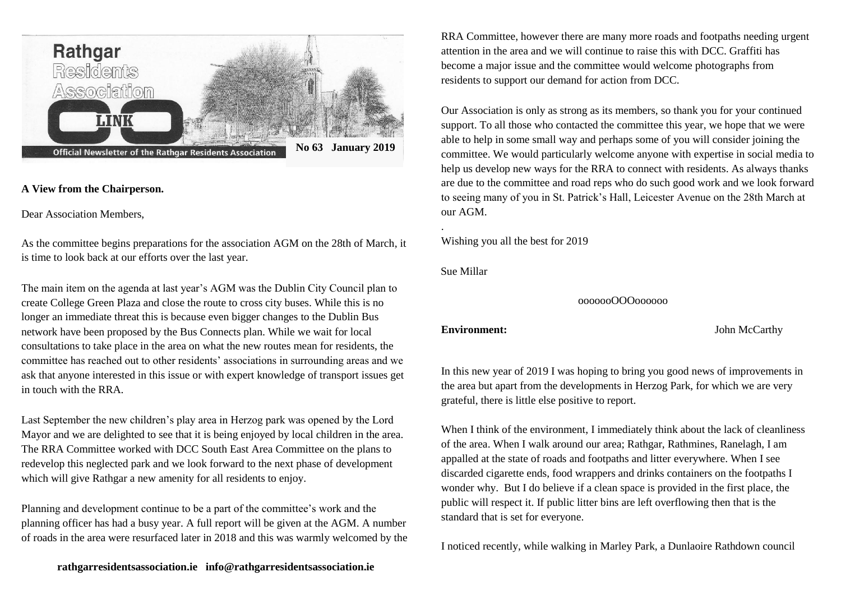

# **A View from the Chairperson.**

Dear Association Members,

As the committee begins preparations for the association AGM on the 28th of March, it is time to look back at our efforts over the last year.

The main item on the agenda at last year's AGM was the Dublin City Council plan to create College Green Plaza and close the route to cross city buses. While this is no longer an immediate threat this is because even bigger changes to the Dublin Bus network have been proposed by the Bus Connects plan. While we wait for local consultations to take place in the area on what the new routes mean for residents, the committee has reached out to other residents' associations in surrounding areas and we ask that anyone interested in this issue or with expert knowledge of transport issues get in touch with the RRA

Last September the new children's play area in Herzog park was opened by the Lord Mayor and we are delighted to see that it is being enjoyed by local children in the area. The RRA Committee worked with DCC South East Area Committee on the plans to redevelop this neglected park and we look forward to the next phase of development which will give Rathgar a new amenity for all residents to enjoy.

Planning and development continue to be a part of the committee's work and the planning officer has had a busy year. A full report will be given at the AGM. A number of roads in the area were resurfaced later in 2018 and this was warmly welcomed by the

**rathgarresidentsassociation.ie info@rathgarresidentsassociation.ie**

RRA Committee, however there are many more roads and footpaths needing urgent attention in the area and we will continue to raise this with DCC. Graffiti has become a major issue and the committee would welcome photographs from residents to support our demand for action from DCC.

Our Association is only as strong as its members, so thank you for your continued support. To all those who contacted the committee this year, we hope that we were able to help in some small way and perhaps some of you will consider joining the committee. We would particularly welcome anyone with expertise in social media to help us develop new ways for the RRA to connect with residents. As always thanks are due to the committee and road reps who do such good work and we look forward to seeing many of you in St. Patrick's Hall, Leicester Avenue on the 28th March at our AGM.

Wishing you all the best for 2019

Sue Millar

.

ooooooOOOoooooo

**Environment:** John McCarthy

In this new year of 2019 I was hoping to bring you good news of improvements in the area but apart from the developments in Herzog Park, for which we are very grateful, there is little else positive to report.

When I think of the environment, I immediately think about the lack of cleanliness of the area. When I walk around our area; Rathgar, Rathmines, Ranelagh, I am appalled at the state of roads and footpaths and litter everywhere. When I see discarded cigarette ends, food wrappers and drinks containers on the footpaths I wonder why. But I do believe if a clean space is provided in the first place, the public will respect it. If public litter bins are left overflowing then that is the standard that is set for everyone.

I noticed recently, while walking in Marley Park, a Dunlaoire Rathdown council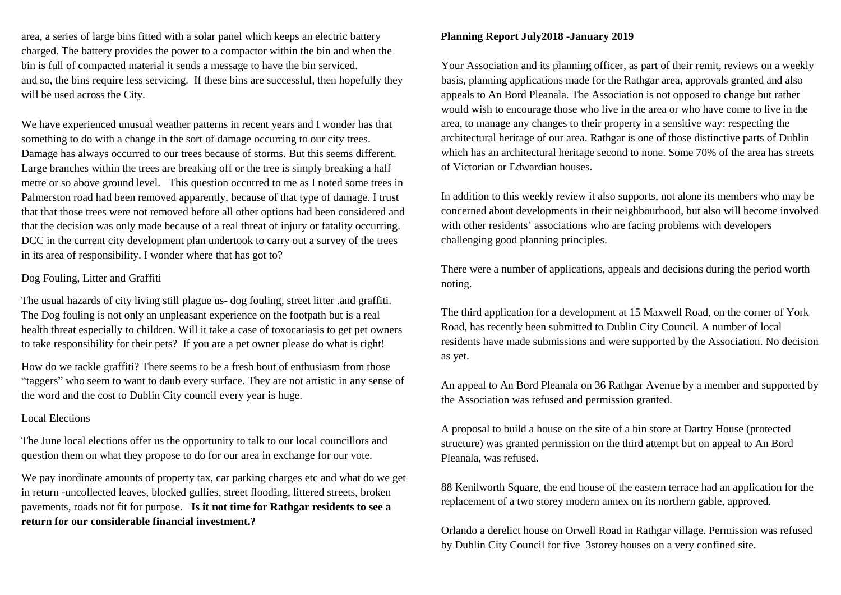area, a series of large bins fitted with a solar panel which keeps an electric battery charged. The battery provides the power to a compactor within the bin and when the bin is full of compacted material it sends a message to have the bin serviced. and so, the bins require less servicing. If these bins are successful, then hopefully they will be used across the City.

We have experienced unusual weather patterns in recent years and I wonder has that something to do with a change in the sort of damage occurring to our city trees. Damage has always occurred to our trees because of storms. But this seems different. Large branches within the trees are breaking off or the tree is simply breaking a half metre or so above ground level. This question occurred to me as I noted some trees in Palmerston road had been removed apparently, because of that type of damage. I trust that that those trees were not removed before all other options had been considered and that the decision was only made because of a real threat of injury or fatality occurring. DCC in the current city development plan undertook to carry out a survey of the trees in its area of responsibility. I wonder where that has got to?

#### Dog Fouling, Litter and Graffiti

The usual hazards of city living still plague us- dog fouling, street litter .and graffiti. The Dog fouling is not only an unpleasant experience on the footpath but is a real health threat especially to children. Will it take a case of toxocariasis to get pet owners to take responsibility for their pets? If you are a pet owner please do what is right!

How do we tackle graffiti? There seems to be a fresh bout of enthusiasm from those "taggers" who seem to want to daub every surface. They are not artistic in any sense of the word and the cost to Dublin City council every year is huge.

#### Local Elections

The June local elections offer us the opportunity to talk to our local councillors and question them on what they propose to do for our area in exchange for our vote.

We pay inordinate amounts of property tax, car parking charges etc and what do we get in return -uncollected leaves, blocked gullies, street flooding, littered streets, broken pavements, roads not fit for purpose. **Is it not time for Rathgar residents to see a return for our considerable financial investment.?**

### **Planning Report July2018 -January 2019**

Your Association and its planning officer, as part of their remit, reviews on a weekly basis, planning applications made for the Rathgar area, approvals granted and also appeals to An Bord Pleanala. The Association is not opposed to change but rather would wish to encourage those who live in the area or who have come to live in the area, to manage any changes to their property in a sensitive way: respecting the architectural heritage of our area. Rathgar is one of those distinctive parts of Dublin which has an architectural heritage second to none. Some 70% of the area has streets of Victorian or Edwardian houses.

In addition to this weekly review it also supports, not alone its members who may be concerned about developments in their neighbourhood, but also will become involved with other residents' associations who are facing problems with developers challenging good planning principles.

There were a number of applications, appeals and decisions during the period worth noting.

The third application for a development at 15 Maxwell Road, on the corner of York Road, has recently been submitted to Dublin City Council. A number of local residents have made submissions and were supported by the Association. No decision as yet.

An appeal to An Bord Pleanala on 36 Rathgar Avenue by a member and supported by the Association was refused and permission granted.

A proposal to build a house on the site of a bin store at Dartry House (protected structure) was granted permission on the third attempt but on appeal to An Bord Pleanala, was refused.

88 Kenilworth Square, the end house of the eastern terrace had an application for the replacement of a two storey modern annex on its northern gable, approved.

Orlando a derelict house on Orwell Road in Rathgar village. Permission was refused by Dublin City Council for five 3storey houses on a very confined site.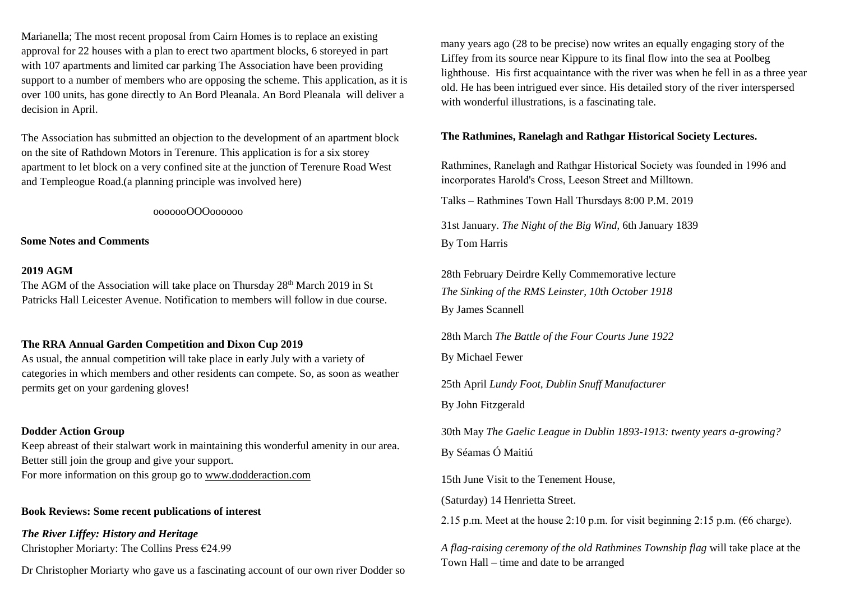Marianella; The most recent proposal from Cairn Homes is to replace an existing approval for 22 houses with a plan to erect two apartment blocks, 6 storeyed in part with 107 apartments and limited car parking The Association have been providing support to a number of members who are opposing the scheme. This application, as it is over 100 units, has gone directly to An Bord Pleanala. An Bord Pleanala will deliver a decision in April.

The Association has submitted an objection to the development of an apartment block on the site of Rathdown Motors in Terenure. This application is for a six storey apartment to let block on a very confined site at the junction of Terenure Road West and Templeogue Road.(a planning principle was involved here)

ooooooOOOoooooo

**Some Notes and Comments** 

#### **2019 AGM**

The AGM of the Association will take place on Thursday  $28<sup>th</sup>$  March 2019 in St Patricks Hall Leicester Avenue. Notification to members will follow in due course.

## **The RRA Annual Garden Competition and Dixon Cup 2019**

As usual, the annual competition will take place in early July with a variety of categories in which members and other residents can compete. So, as soon as weather permits get on your gardening gloves!

### **Dodder Action Group**

Keep abreast of their stalwart work in maintaining this wonderful amenity in our area. Better still join the group and give your support. For more information on this group go to [www.dodderaction.com](http://www.dodderaction.com/)

### **Book Reviews: Some recent publications of interest**

*The River Liffey: History and Heritage* Christopher Moriarty: The Collins Press €24.99

Dr Christopher Moriarty who gave us a fascinating account of our own river Dodder so

many years ago (28 to be precise) now writes an equally engaging story of the Liffey from its source near Kippure to its final flow into the sea at Poolbeg lighthouse. His first acquaintance with the river was when he fell in as a three year old. He has been intrigued ever since. His detailed story of the river interspersed with wonderful illustrations, is a fascinating tale.

#### **The Rathmines, Ranelagh and Rathgar Historical Society Lectures.**

Rathmines, Ranelagh and Rathgar Historical Society was founded in 1996 and incorporates Harold's Cross, Leeson Street and Milltown.

Talks – Rathmines Town Hall Thursdays 8:00 P.M. 2019

31st January. *The Night of the Big Wind,* 6th January 1839 By Tom Harris

28th February Deirdre Kelly Commemorative lecture *The Sinking of the RMS Leinster*, *10th October 1918* By James Scannell

28th March *The Battle of the Four Courts June 1922* By Michael Fewer

25th April *Lundy Foot, Dublin Snuff Manufacturer*

By John Fitzgerald

30th May *The Gaelic League in Dublin 1893-1913: twenty years a-growing?* By Séamas Ó Maitiú

15th June Visit to the Tenement House,

(Saturday) 14 Henrietta Street.

2.15 p.m. Meet at the house 2:10 p.m. for visit beginning 2:15 p.m. (€6 charge).

*A flag-raising ceremony of the old Rathmines Township flag* will take place at the Town Hall – time and date to be arranged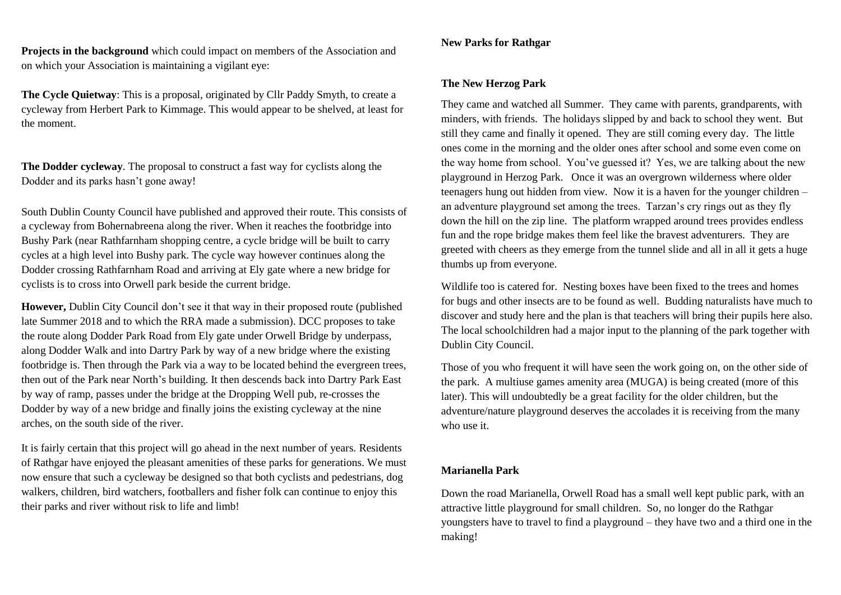**Projects in the background** which could impact on members of the Association and on which your Association is maintaining a vigilant eye:

**The Cycle Quietway**: This is a proposal, originated by Cllr Paddy Smyth, to create a cycleway from Herbert Park to Kimmage. This would appear to be shelved, at least for the moment.

**The Dodder cycleway**. The proposal to construct a fast way for cyclists along the Dodder and its parks hasn't gone away!

South Dublin County Council have published and approved their route. This consists of a cycleway from Bohernabreena along the river. When it reaches the footbridge into Bushy Park (near Rathfarnham shopping centre, a cycle bridge will be built to carry cycles at a high level into Bushy park. The cycle way however continues along the Dodder crossing Rathfarnham Road and arriving at Ely gate where a new bridge for cyclists is to cross into Orwell park beside the current bridge.

**However,** Dublin City Council don't see it that way in their proposed route (published late Summer 2018 and to which the RRA made a submission). DCC proposes to take the route along Dodder Park Road from Ely gate under Orwell Bridge by underpass, along Dodder Walk and into Dartry Park by way of a new bridge where the existing footbridge is. Then through the Park via a way to be located behind the evergreen trees, then out of the Park near North's building. It then descends back into Dartry Park East by way of ramp, passes under the bridge at the Dropping Well pub, re-crosses the Dodder by way of a new bridge and finally joins the existing cycleway at the nine arches, on the south side of the river.

It is fairly certain that this project will go ahead in the next number of years. Residents of Rathgar have enjoyed the pleasant amenities of these parks for generations. We must now ensure that such a cycleway be designed so that both cyclists and pedestrians, dog walkers, children, bird watchers, footballers and fisher folk can continue to enjoy this their parks and river without risk to life and limb!

#### **New Parks for Rathgar**

#### **The New Herzog Park**

They came and watched all Summer. They came with parents, grandparents, with minders, with friends. The holidays slipped by and back to school they went. But still they came and finally it opened. They are still coming every day. The little ones come in the morning and the older ones after school and some even come on the way home from school. You've guessed it? Yes, we are talking about the new playground in Herzog Park. Once it was an overgrown wilderness where older teenagers hung out hidden from view. Now it is a haven for the younger children – an adventure playground set among the trees. Tarzan's cry rings out as they fly down the hill on the zip line. The platform wrapped around trees provides endless fun and the rope bridge makes them feel like the bravest adventurers. They are greeted with cheers as they emerge from the tunnel slide and all in all it gets a huge thumbs up from everyone.

Wildlife too is catered for. Nesting boxes have been fixed to the trees and homes for bugs and other insects are to be found as well. Budding naturalists have much to discover and study here and the plan is that teachers will bring their pupils here also. The local schoolchildren had a major input to the planning of the park together with Dublin City Council.

Those of you who frequent it will have seen the work going on, on the other side of the park. A multiuse games amenity area (MUGA) is being created (more of this later). This will undoubtedly be a great facility for the older children, but the adventure/nature playground deserves the accolades it is receiving from the many who use it.

#### **Marianella Park**

Down the road Marianella, Orwell Road has a small well kept public park, with an attractive little playground for small children. So, no longer do the Rathgar youngsters have to travel to find a playground – they have two and a third one in the making!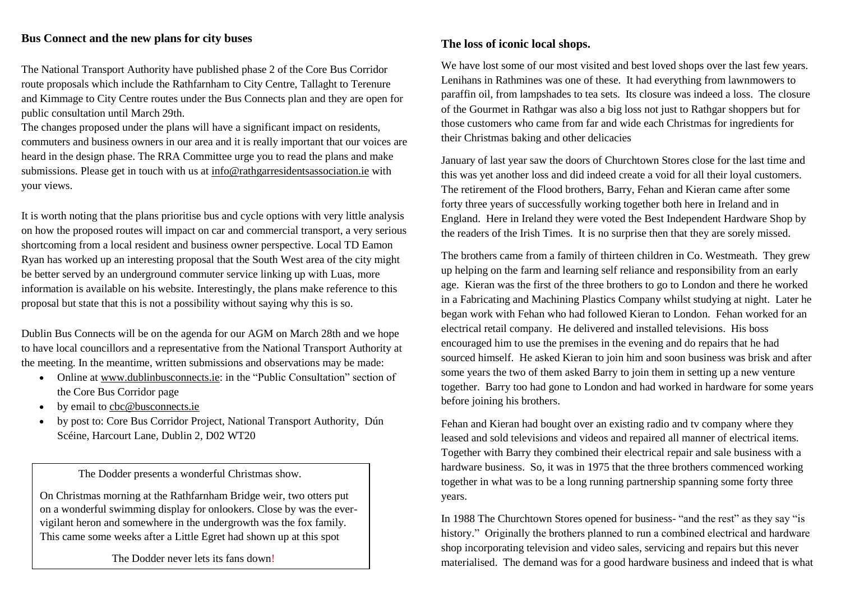# **Bus Connect and the new plans for city buses**

The National Transport Authority have published phase 2 of the Core Bus Corridor route proposals which include the Rathfarnham to City Centre, Tallaght to Terenure and Kimmage to City Centre routes under the Bus Connects plan and they are open for public consultation until March 29th.

The changes proposed under the plans will have a significant impact on residents, commuters and business owners in our area and it is really important that our voices are heard in the design phase. The RRA Committee urge you to read the plans and make submissions. Please get in touch with us a[t info@rathgarresidentsassociation.ie](mailto:info@rathgarresidentsassociation.ie) with your views.

It is worth noting that the plans prioritise bus and cycle options with very little analysis on how the proposed routes will impact on car and commercial transport, a very serious shortcoming from a local resident and business owner perspective. Local TD Eamon Ryan has worked up an interesting proposal that the South West area of the city might be better served by an underground commuter service linking up with Luas, more information is available on his website. Interestingly, the plans make reference to this proposal but state that this is not a possibility without saying why this is so.

Dublin Bus Connects will be on the agenda for our AGM on March 28th and we hope to have local councillors and a representative from the National Transport Authority at the meeting. In the meantime, written submissions and observations may be made:

- Online a[t www.dublinbusconnects.ie:](http://www.dublinbusconnects.ie/) in the "Public Consultation" section of the Core Bus Corridor page
- by email to [cbc@busconnects.ie](mailto:cbc@busconnects.ie)
- by post to: Core Bus Corridor Project, National Transport Authority, Dún Scéine, Harcourt Lane, Dublin 2, D02 WT20

The Dodder presents a wonderful Christmas show.

On Christmas morning at the Rathfarnham Bridge weir, two otters put on a wonderful swimming display for onlookers. Close by was the evervigilant heron and somewhere in the undergrowth was the fox family. This came some weeks after a Little Egret had shown up at this spot

The Dodder never lets its fans down!

# **The loss of iconic local shops.**

We have lost some of our most visited and best loved shops over the last few years. Lenihans in Rathmines was one of these. It had everything from lawnmowers to paraffin oil, from lampshades to tea sets. Its closure was indeed a loss. The closure of the Gourmet in Rathgar was also a big loss not just to Rathgar shoppers but for those customers who came from far and wide each Christmas for ingredients for their Christmas baking and other delicacies

January of last year saw the doors of Churchtown Stores close for the last time and this was yet another loss and did indeed create a void for all their loyal customers. The retirement of the Flood brothers, Barry, Fehan and Kieran came after some forty three years of successfully working together both here in Ireland and in England. Here in Ireland they were voted the Best Independent Hardware Shop by the readers of the Irish Times. It is no surprise then that they are sorely missed.

The brothers came from a family of thirteen children in Co. Westmeath. They grew up helping on the farm and learning self reliance and responsibility from an early age. Kieran was the first of the three brothers to go to London and there he worked in a Fabricating and Machining Plastics Company whilst studying at night. Later he began work with Fehan who had followed Kieran to London. Fehan worked for an electrical retail company. He delivered and installed televisions. His boss encouraged him to use the premises in the evening and do repairs that he had sourced himself. He asked Kieran to join him and soon business was brisk and after some years the two of them asked Barry to join them in setting up a new venture together. Barry too had gone to London and had worked in hardware for some years before joining his brothers.

Fehan and Kieran had bought over an existing radio and tv company where they leased and sold televisions and videos and repaired all manner of electrical items. Together with Barry they combined their electrical repair and sale business with a hardware business. So, it was in 1975 that the three brothers commenced working together in what was to be a long running partnership spanning some forty three years.

In 1988 The Churchtown Stores opened for business- "and the rest" as they say "is history." Originally the brothers planned to run a combined electrical and hardware shop incorporating television and video sales, servicing and repairs but this never materialised. The demand was for a good hardware business and indeed that is what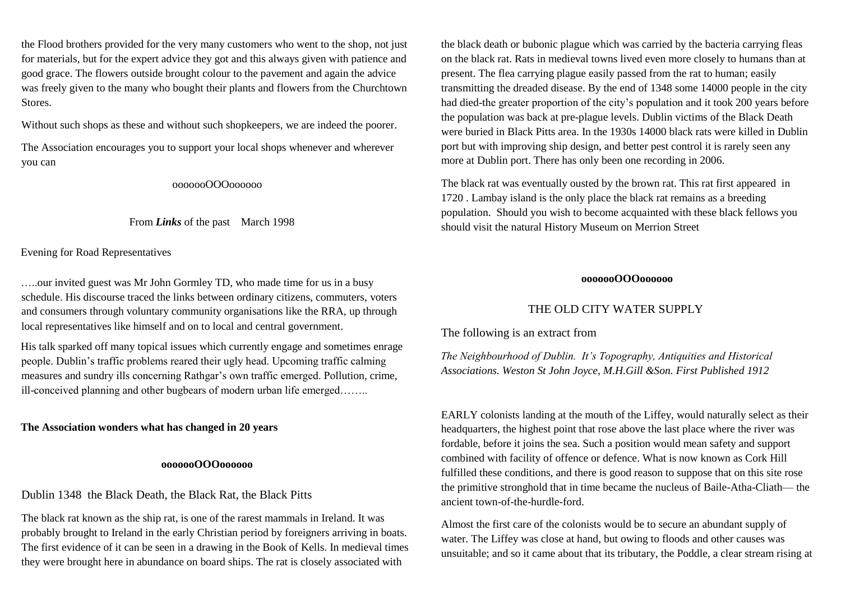the Flood brothers provided for the very many customers who went to the shop, not just for materials, but for the expert advice they got and this always given with patience and good grace. The flowers outside brought colour to the pavement and again the advice was freely given to the many who bought their plants and flowers from the Churchtown Stores.

Without such shops as these and without such shopkeepers, we are indeed the poorer.

The Association encourages you to support your local shops whenever and wherever you can

ooooooOOOoooooo

#### From *Links* of the past March 1998

Evening for Road Representatives

…..our invited guest was Mr John Gormley TD, who made time for us in a busy schedule. His discourse traced the links between ordinary citizens, commuters, voters and consumers through voluntary community organisations like the RRA, up through local representatives like himself and on to local and central government.

His talk sparked off many topical issues which currently engage and sometimes enrage people. Dublin's traffic problems reared their ugly head. Upcoming traffic calming measures and sundry ills concerning Rathgar's own traffic emerged. Pollution, crime, ill-conceived planning and other bugbears of modern urban life emerged……..

## **The Association wonders what has changed in 20 years**

#### **ooooooOOOoooooo**

Dublin 1348 the Black Death, the Black Rat, the Black Pitts

The black rat known as the ship rat, is one of the rarest mammals in Ireland. It was probably brought to Ireland in the early Christian period by foreigners arriving in boats. The first evidence of it can be seen in a drawing in the Book of Kells. In medieval times they were brought here in abundance on board ships. The rat is closely associated with

the black death or bubonic plague which was carried by the bacteria carrying fleas on the black rat. Rats in medieval towns lived even more closely to humans than at present. The flea carrying plague easily passed from the rat to human; easily transmitting the dreaded disease. By the end of 1348 some 14000 people in the city had died-the greater proportion of the city's population and it took 200 years before the population was back at pre-plague levels. Dublin victims of the Black Death were buried in Black Pitts area. In the 1930s 14000 black rats were killed in Dublin port but with improving ship design, and better pest control it is rarely seen any more at Dublin port. There has only been one recording in 2006.

The black rat was eventually ousted by the brown rat. This rat first appeared in 1720 . Lambay island is the only place the black rat remains as a breeding population. Should you wish to become acquainted with these black fellows you should visit the natural History Museum on Merrion Street

# **ooooooOOOoooooo**

# THE OLD CITY WATER SUPPLY

The following is an extract from

*The Neighbourhood of Dublin. It's Topography, Antiquities and Historical Associations. Weston St John Joyce, M.H.Gill &Son. First Published 1912*

EARLY colonists landing at the mouth of the Liffey, would naturally select as their headquarters, the highest point that rose above the last place where the river was fordable, before it joins the sea. Such a position would mean safety and support combined with facility of offence or defence. What is now known as Cork Hill fulfilled these conditions, and there is good reason to suppose that on this site rose the primitive stronghold that in time became the nucleus of Baile-Atha-Cliath— the ancient town-of-the-hurdle-ford.

Almost the first care of the colonists would be to secure an abundant supply of water. The Liffey was close at hand, but owing to floods and other causes was unsuitable; and so it came about that its tributary, the Poddle, a clear stream rising at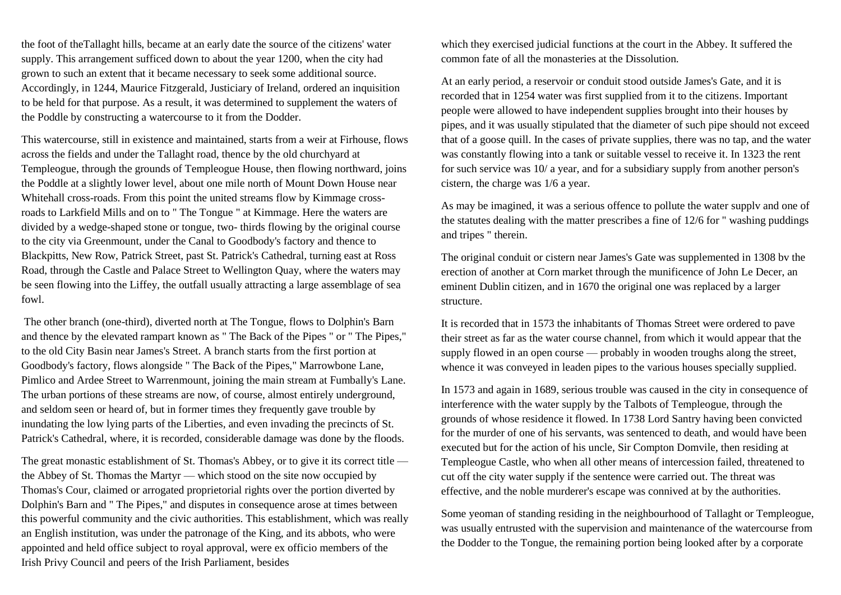the foot of theTallaght hills, became at an early date the source of the citizens' water supply. This arrangement sufficed down to about the year 1200, when the city had grown to such an extent that it became necessary to seek some additional source. Accordingly, in 1244, Maurice Fitzgerald, Justiciary of Ireland, ordered an inquisition to be held for that purpose. As a result, it was determined to supplement the waters of the Poddle by constructing a watercourse to it from the Dodder.

This watercourse, still in existence and maintained, starts from a weir at Firhouse, flows across the fields and under the Tallaght road, thence by the old churchyard at Templeogue, through the grounds of Templeogue House, then flowing northward, joins the Poddle at a slightly lower level, about one mile north of Mount Down House near Whitehall cross-roads. From this point the united streams flow by Kimmage crossroads to Larkfield Mills and on to " The Tongue " at Kimmage. Here the waters are divided by a wedge-shaped stone or tongue, two- thirds flowing by the original course to the city via Greenmount, under the Canal to Goodbody's factory and thence to Blackpitts, New Row, Patrick Street, past St. Patrick's Cathedral, turning east at Ross Road, through the Castle and Palace Street to Wellington Quay, where the waters may be seen flowing into the Liffey, the outfall usually attracting a large assemblage of sea fowl.

The other branch (one-third), diverted north at The Tongue, flows to Dolphin's Barn and thence by the elevated rampart known as " The Back of the Pipes " or " The Pipes," to the old City Basin near James's Street. A branch starts from the first portion at Goodbody's factory, flows alongside " The Back of the Pipes," Marrowbone Lane, Pimlico and Ardee Street to Warrenmount, joining the main stream at Fumbally's Lane. The urban portions of these streams are now, of course, almost entirely underground, and seldom seen or heard of, but in former times they frequently gave trouble by inundating the low lying parts of the Liberties, and even invading the precincts of St. Patrick's Cathedral, where, it is recorded, considerable damage was done by the floods.

The great monastic establishment of St. Thomas's Abbey, or to give it its correct title the Abbey of St. Thomas the Martyr — which stood on the site now occupied by Thomas's Cour, claimed or arrogated proprietorial rights over the portion diverted by Dolphin's Barn and " The Pipes," and disputes in consequence arose at times between this powerful community and the civic authorities. This establishment, which was really an English institution, was under the patronage of the King, and its abbots, who were appointed and held office subject to royal approval, were ex officio members of the Irish Privy Council and peers of the Irish Parliament, besides

which they exercised judicial functions at the court in the Abbey. It suffered the common fate of all the monasteries at the Dissolution.

At an early period, a reservoir or conduit stood outside James's Gate, and it is recorded that in 1254 water was first supplied from it to the citizens. Important people were allowed to have independent supplies brought into their houses by pipes, and it was usually stipulated that the diameter of such pipe should not exceed that of a goose quill. In the cases of private supplies, there was no tap, and the water was constantly flowing into a tank or suitable vessel to receive it. In 1323 the rent for such service was 10/ a year, and for a subsidiary supply from another person's cistern, the charge was 1/6 a year.

As may be imagined, it was a serious offence to pollute the water supplv and one of the statutes dealing with the matter prescribes a fine of 12/6 for " washing puddings and tripes " therein.

The original conduit or cistern near James's Gate was supplemented in 1308 bv the erection of another at Corn market through the munificence of John Le Decer, an eminent Dublin citizen, and in 1670 the original one was replaced by a larger structure.

It is recorded that in 1573 the inhabitants of Thomas Street were ordered to pave their street as far as the water course channel, from which it would appear that the supply flowed in an open course — probably in wooden troughs along the street, whence it was conveyed in leaden pipes to the various houses specially supplied.

In 1573 and again in 1689, serious trouble was caused in the city in consequence of interference with the water supply by the Talbots of Templeogue, through the grounds of whose residence it flowed. In 1738 Lord Santry having been convicted for the murder of one of his servants, was sentenced to death, and would have been executed but for the action of his uncle, Sir Compton Domvile, then residing at Templeogue Castle, who when all other means of intercession failed, threatened to cut off the city water supply if the sentence were carried out. The threat was effective, and the noble murderer's escape was connived at by the authorities.

Some yeoman of standing residing in the neighbourhood of Tallaght or Templeogue, was usually entrusted with the supervision and maintenance of the watercourse from the Dodder to the Tongue, the remaining portion being looked after by a corporate